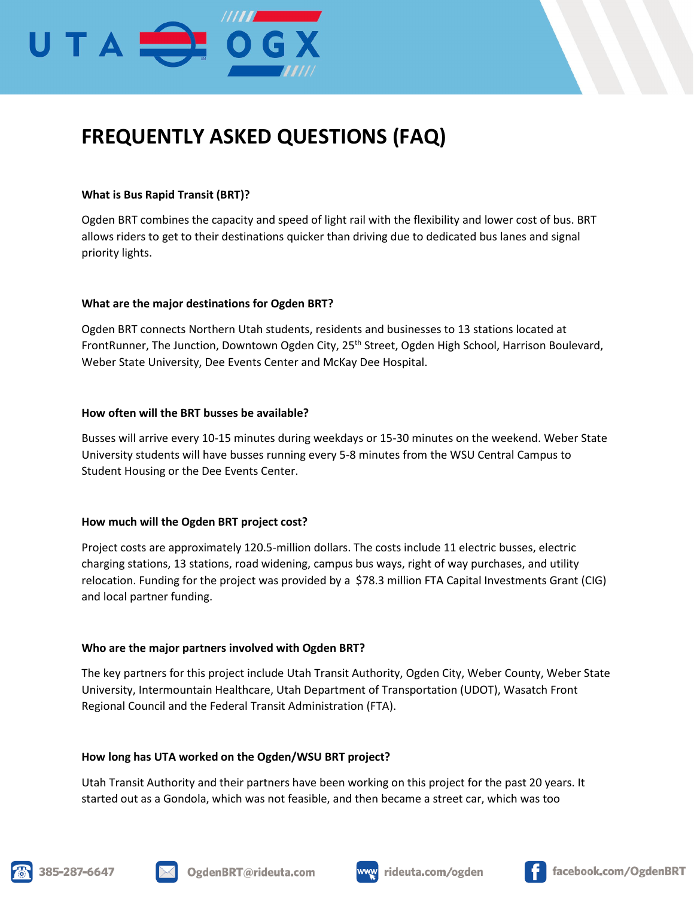

# **FREQUENTLY ASKED QUESTIONS (FAQ)**

# **What is Bus Rapid Transit (BRT)?**

Ogden BRT combines the capacity and speed of light rail with the flexibility and lower cost of bus. BRT allows riders to get to their destinations quicker than driving due to dedicated bus lanes and signal priority lights.

# **What are the major destinations for Ogden BRT?**

Ogden BRT connects Northern Utah students, residents and businesses to 13 stations located at FrontRunner, The Junction, Downtown Ogden City, 25<sup>th</sup> Street, Ogden High School, Harrison Boulevard, Weber State University, Dee Events Center and McKay Dee Hospital.

# **How often will the BRT busses be available?**

Busses will arrive every 10-15 minutes during weekdays or 15-30 minutes on the weekend. Weber State University students will have busses running every 5-8 minutes from the WSU Central Campus to Student Housing or the Dee Events Center.

# **How much will the Ogden BRT project cost?**

Project costs are approximately 120.5-million dollars. The costs include 11 electric busses, electric charging stations, 13 stations, road widening, campus bus ways, right of way purchases, and utility relocation. Funding for the project was provided by a \$78.3 million FTA Capital Investments Grant (CIG) and local partner funding.

# **Who are the major partners involved with Ogden BRT?**

The key partners for this project include Utah Transit Authority, Ogden City, Weber County, Weber State University, Intermountain Healthcare, Utah Department of Transportation (UDOT), Wasatch Front Regional Council and the Federal Transit Administration (FTA).

# **How long has UTA worked on the Ogden/WSU BRT project?**

Utah Transit Authority and their partners have been working on this project for the past 20 years. It started out as a Gondola, which was not feasible, and then became a street car, which was too







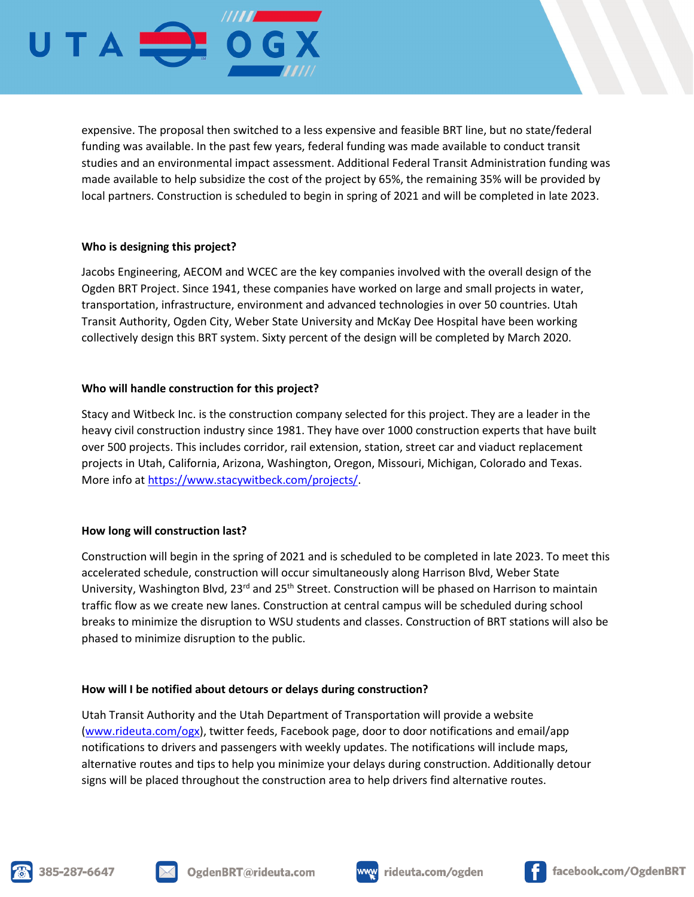

expensive. The proposal then switched to a less expensive and feasible BRT line, but no state/federal funding was available. In the past few years, federal funding was made available to conduct transit studies and an environmental impact assessment. Additional Federal Transit Administration funding was made available to help subsidize the cost of the project by 65%, the remaining 35% will be provided by local partners. Construction is scheduled to begin in spring of 2021 and will be completed in late 2023.

# **Who is designing this project?**

Jacobs Engineering, AECOM and WCEC are the key companies involved with the overall design of the Ogden BRT Project. Since 1941, these companies have worked on large and small projects in water, transportation, infrastructure, environment and advanced technologies in over 50 countries. Utah Transit Authority, Ogden City, Weber State University and McKay Dee Hospital have been working collectively design this BRT system. Sixty percent of the design will be completed by March 2020.

# **Who will handle construction for this project?**

Stacy and Witbeck Inc. is the construction company selected for this project. They are a leader in the heavy civil construction industry since 1981. They have over 1000 construction experts that have built over 500 projects. This includes corridor, rail extension, station, street car and viaduct replacement projects in Utah, California, Arizona, Washington, Oregon, Missouri, Michigan, Colorado and Texas. More info a[t https://www.stacywitbeck.com/projects/.](https://www.stacywitbeck.com/projects/)

# **How long will construction last?**

Construction will begin in the spring of 2021 and is scheduled to be completed in late 2023. To meet this accelerated schedule, construction will occur simultaneously along Harrison Blvd, Weber State University, Washington Blvd, 23<sup>rd</sup> and 25<sup>th</sup> Street. Construction will be phased on Harrison to maintain traffic flow as we create new lanes. Construction at central campus will be scheduled during school breaks to minimize the disruption to WSU students and classes. Construction of BRT stations will also be phased to minimize disruption to the public.

# **How will I be notified about detours or delays during construction?**

Utah Transit Authority and the Utah Department of Transportation will provide a website [\(www.rideuta.com/ogx\)](http://www.rideuta.com/ogx), twitter feeds, Facebook page, door to door notifications and email/app notifications to drivers and passengers with weekly updates. The notifications will include maps, alternative routes and tips to help you minimize your delays during construction. Additionally detour signs will be placed throughout the construction area to help drivers find alternative routes.